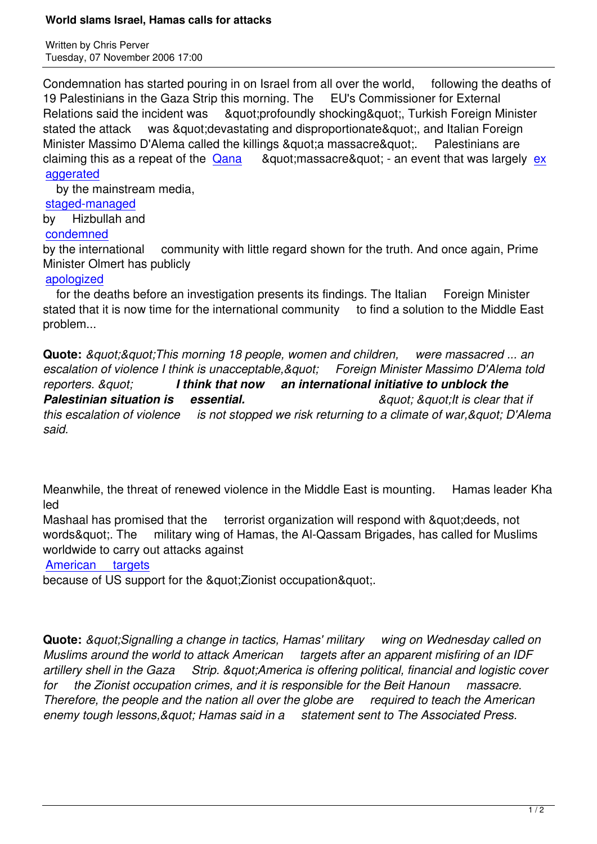Condemnation has started pouring in on Israel from all over the world, following the deaths of 19 Palestinians in the Gaza Strip this morning. The EU's Commissioner for External Relations said the incident was "profoundly shocking", Turkish Foreign Minister stated the attack was & quot: devastating and disproportionate & quot:, and Italian Foreign Minister Massimo D'Alema called the killings "a massacre". Palestinians are claiming this as a repeat of the  $\alpha$  ana  $\alpha$  &  $\alpha$  &  $\alpha$  &  $\alpha$  an event that was largely  $\alpha$ aggerated

by the mainstream media,

## staged-managed

[by Hizbu](aug06.html#8-7-3)llah and

## condemned

[by the internationa](aug06.html#8-10-3)l community with little regard shown for the truth. And once again, Prime Minister Olmert has publicly

## [apologized](jul06.html#7-27-1)

for the deaths before an investigation presents its findings. The Italian Foreign Minister stated that it is now time for the international community to find a solution to the Middle East [problem...](http://www.ynetnews.com/articles/0,7340,L-3325525,00.html) 

**Quote:** &guot:&guot:This morning 18 people, women and children, were massacred ... an escalation of violence I think is unacceptable, & quot; Foreign Minister Massimo D'Alema told *reporters. " I think that now an international initiative to unblock the* **Palestinian situation is essential. The absolution of the example of that if is clear that if** *this escalation of violence is not stopped we risk returning to a climate of war, & quot: D'Alema said.*

Meanwhile, the threat of renewed violence in the Middle East is mounting. Hamas leader Kha led

Mashaal has promised that the terrorist organization will respond with & quot: deeds, not words". The military wing of Hamas, the Al-Qassam Brigades, has called for Muslims worldwide to carry out attacks against

## American targets

because of US support for the &quot: Zionist occupation & quot:..

**Quote:** *&guot;Signalling a change in tactics, Hamas' military wing on Wednesday called on Muslims around the world to attack American targets after an apparent misfiring of an IDF artillery shell in the Gaza Strip. "America is offering political, financial and logistic cover for the Zionist occupation crimes, and it is responsible for the Beit Hanoun massacre. Therefore, the people and the nation all over the globe are required to teach the American enemy tough lessons," Hamas said in a statement sent to The Associated Press.*